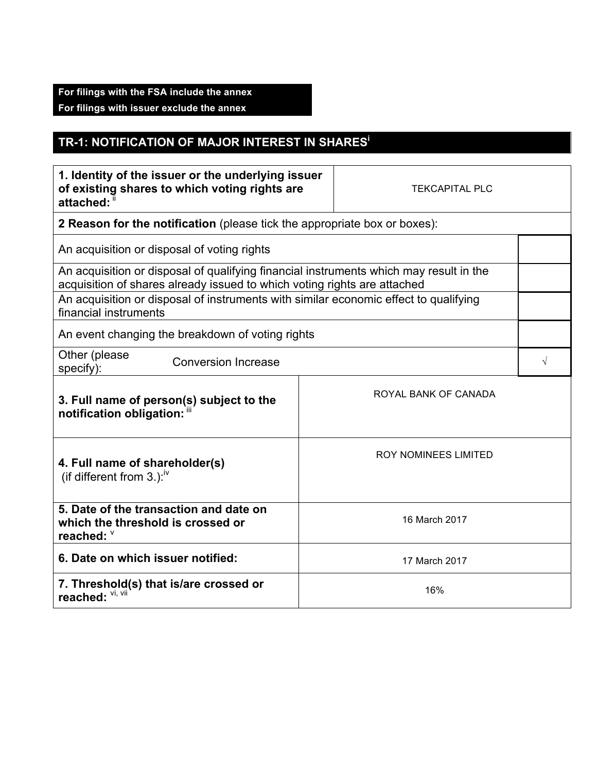## **For filings with the FSA include the annex**

**For filings with issuer exclude the annex**

## **TR-1: NOTIFICATION OF MAJOR INTEREST IN SHARES<sup>i</sup>**

| 1. Identity of the issuer or the underlying issuer<br>of existing shares to which voting rights are<br>attached:                                                   |               | <b>TEKCAPITAL PLC</b> |  |  |
|--------------------------------------------------------------------------------------------------------------------------------------------------------------------|---------------|-----------------------|--|--|
| 2 Reason for the notification (please tick the appropriate box or boxes):                                                                                          |               |                       |  |  |
| An acquisition or disposal of voting rights                                                                                                                        |               |                       |  |  |
| An acquisition or disposal of qualifying financial instruments which may result in the<br>acquisition of shares already issued to which voting rights are attached |               |                       |  |  |
| An acquisition or disposal of instruments with similar economic effect to qualifying<br>financial instruments                                                      |               |                       |  |  |
| An event changing the breakdown of voting rights                                                                                                                   |               |                       |  |  |
| Other (please<br><b>Conversion Increase</b><br>specify):                                                                                                           |               |                       |  |  |
| 3. Full name of person(s) subject to the<br>notification obligation: "                                                                                             |               | ROYAL BANK OF CANADA  |  |  |
| <b>ROY NOMINEES LIMITED</b><br>4. Full name of shareholder(s)<br>(if different from 3.): <sup>iv</sup>                                                             |               |                       |  |  |
| 5. Date of the transaction and date on<br>which the threshold is crossed or<br>reached: V                                                                          | 16 March 2017 |                       |  |  |
| 6. Date on which issuer notified:<br>17 March 2017                                                                                                                 |               |                       |  |  |
| 7. Threshold(s) that is/are crossed or<br>16%<br>reached: VI, VII                                                                                                  |               |                       |  |  |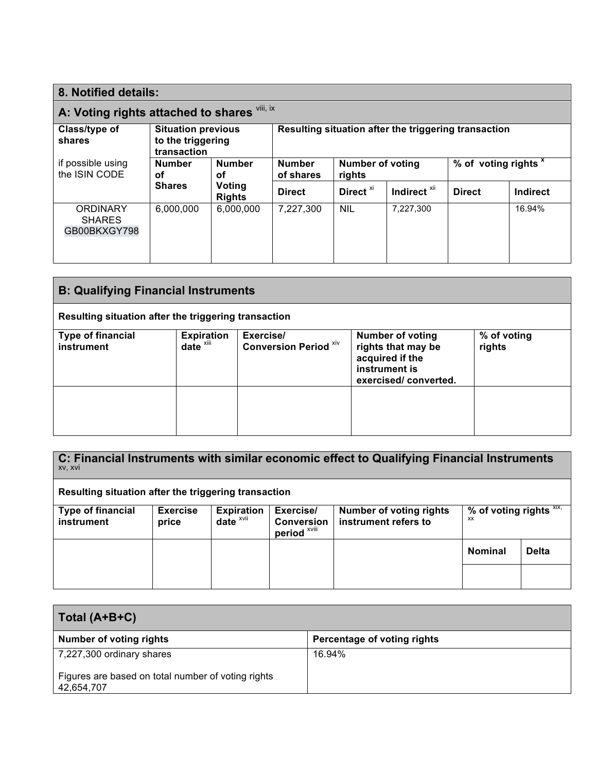| 8. Notified details:                             |                                                               |                         |                                                                 |                      |                                                      |               |                 |
|--------------------------------------------------|---------------------------------------------------------------|-------------------------|-----------------------------------------------------------------|----------------------|------------------------------------------------------|---------------|-----------------|
| A: Voting rights attached to shares Vili, ix     |                                                               |                         |                                                                 |                      |                                                      |               |                 |
| Class/type of<br>shares                          | <b>Situation previous</b><br>to the triggering<br>transaction |                         |                                                                 |                      | Resulting situation after the triggering transaction |               |                 |
| if possible using<br>the ISIN CODE<br>оf         | <b>Number</b>                                                 | <b>Number</b><br>οf     | <b>Number of voting</b><br><b>Number</b><br>of shares<br>rights |                      | % of voting rights <sup>x</sup>                      |               |                 |
|                                                  | <b>Shares</b>                                                 | Voting<br><b>Rights</b> | <b>Direct</b>                                                   | Direct <sup>xi</sup> | Indirect <sup>xii</sup>                              | <b>Direct</b> | <b>Indirect</b> |
| <b>ORDINARY</b><br><b>SHARES</b><br>GB00BKXGY798 | 6,000,000                                                     | 6,000,000               | 7,227,300                                                       | <b>NIL</b>           | 7,227,300                                            |               | 16.94%          |

| <b>B: Qualifying Financial Instruments</b>           |                                               |                                           |                                                                                                           |                       |  |
|------------------------------------------------------|-----------------------------------------------|-------------------------------------------|-----------------------------------------------------------------------------------------------------------|-----------------------|--|
| Resulting situation after the triggering transaction |                                               |                                           |                                                                                                           |                       |  |
| <b>Type of financial</b><br>instrument               | <b>Expiration</b><br>$date^{\overline{x}iii}$ | Exercise/<br><b>Conversion Period Xiv</b> | <b>Number of voting</b><br>rights that may be<br>acquired if the<br>instrument is<br>exercised/converted. | % of voting<br>rights |  |
|                                                      |                                               |                                           |                                                                                                           |                       |  |

**C: Financial Instruments with similar economic effect to Qualifying Financial Instruments**  xv, xvi

**Resulting situation after the triggering transaction**

| <b>Type of financial</b><br><b>instrument</b> | <b>Exercise</b><br>price | <b>Expiration</b><br>date <sup>xvii</sup> | Exercise/<br><b>Conversion</b><br>period <sup>xviii</sup> | <b>Number of voting rights</b><br>instrument refers to | % of voting rights $\overline{x}$ xix,<br>XX |              |
|-----------------------------------------------|--------------------------|-------------------------------------------|-----------------------------------------------------------|--------------------------------------------------------|----------------------------------------------|--------------|
|                                               |                          |                                           |                                                           |                                                        | <b>Nominal</b>                               | <b>Delta</b> |
|                                               |                          |                                           |                                                           |                                                        |                                              |              |

| Total (A+B+C)                                                    |                                    |  |  |  |
|------------------------------------------------------------------|------------------------------------|--|--|--|
| <b>Number of voting rights</b>                                   | <b>Percentage of voting rights</b> |  |  |  |
| 7,227,300 ordinary shares                                        | 16.94%                             |  |  |  |
| Figures are based on total number of voting rights<br>42,654,707 |                                    |  |  |  |